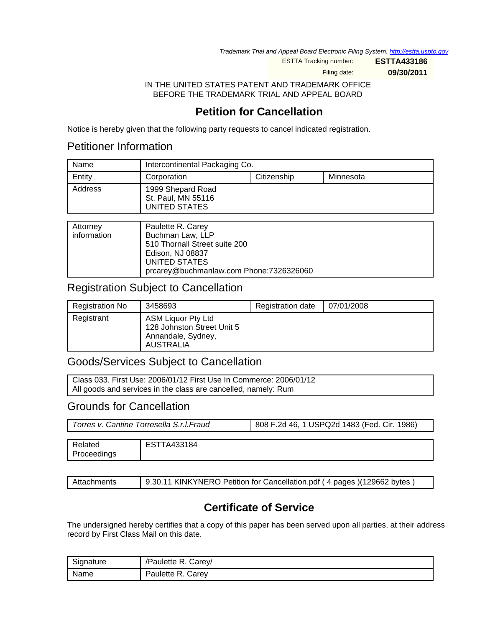Trademark Trial and Appeal Board Electronic Filing System. <http://estta.uspto.gov>

ESTTA Tracking number: **ESTTA433186**

Filing date: **09/30/2011**

IN THE UNITED STATES PATENT AND TRADEMARK OFFICE BEFORE THE TRADEMARK TRIAL AND APPEAL BOARD

# **Petition for Cancellation**

Notice is hereby given that the following party requests to cancel indicated registration.

### Petitioner Information

| Name    | Intercontinental Packaging Co.                           |             |           |
|---------|----------------------------------------------------------|-------------|-----------|
| Entity  | Corporation                                              | Citizenship | Minnesota |
| Address | 1999 Shepard Road<br>St. Paul, MN 55116<br>UNITED STATES |             |           |

| Attorney<br>information | Paulette R. Carey<br>Buchman Law, LLP<br>510 Thornall Street suite 200<br>Edison, NJ 08837<br>UNITED STATES |
|-------------------------|-------------------------------------------------------------------------------------------------------------|
|                         | prcarey@buchmanlaw.com Phone:7326326060                                                                     |

## Registration Subject to Cancellation

| Registration No | 3458693                                                                                    | Registration date | 07/01/2008 |
|-----------------|--------------------------------------------------------------------------------------------|-------------------|------------|
| Registrant      | ASM Liquor Pty Ltd<br>128 Johnston Street Unit 5<br>Annandale, Sydney,<br><b>AUSTRALIA</b> |                   |            |

## Goods/Services Subject to Cancellation

Class 033. First Use: 2006/01/12 First Use In Commerce: 2006/01/12 All goods and services in the class are cancelled, namely: Rum

### Grounds for Cancellation

Proceedings

| Torres v. Cantine Torresella S.r.I.Fraud |             | 808 F.2d 46, 1 USPQ2d 1483 (Fed. Cir. 1986) |  |
|------------------------------------------|-------------|---------------------------------------------|--|
|                                          |             |                                             |  |
| Related                                  | ESTTA433184 |                                             |  |

| Attachments | 9.30.11 KINKYNERO Petition for Cancellation.pdf (4 pages) (129662 bytes) |
|-------------|--------------------------------------------------------------------------|

# **Certificate of Service**

The undersigned hereby certifies that a copy of this paper has been served upon all parties, at their address record by First Class Mail on this date.

| Signature | /Paulette R. Carey/ |
|-----------|---------------------|
| Name      | Paulette R. Carey   |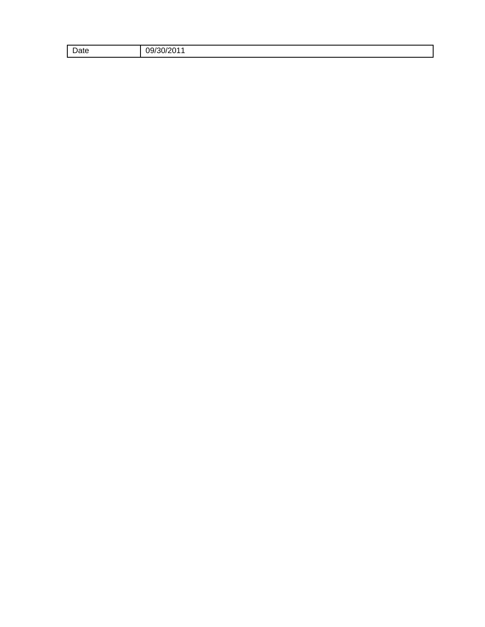| Date | 1⁄201<br>$\epsilon$<br>ገዓ/<br>יו ר<br>_______ |
|------|-----------------------------------------------|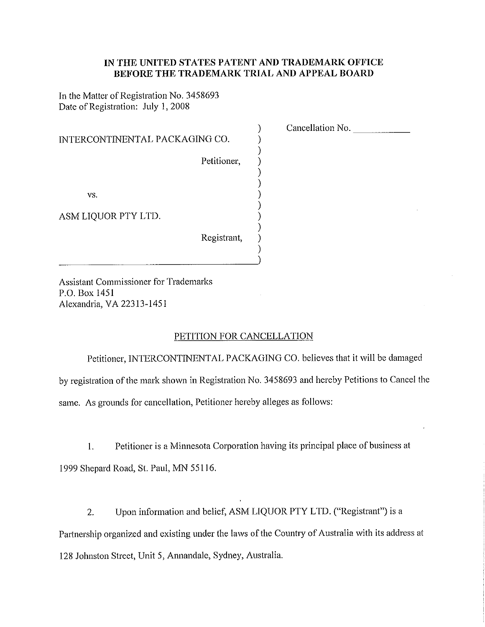#### IN THE UNITED STATES PATENT AND TRADEMARK OFFICE BEFORE THE TRADEMARK TRIAL AND APPEAL BOARD

 $\mathcal{Y}$  $\big)$  $\big)$  $)$  Cancellation No.

In the Matter of Registration No. 3458693 Date of Registration: July 1, 2008

| INTERCONTINENTAL PACKAGING CO. |             |
|--------------------------------|-------------|
|                                | Petitioner, |
|                                |             |
| VS.                            |             |
| ASM LIQUOR PTY LTD.            |             |
|                                | Registrant, |

**Assistant Commissioner for Trademarks** P.O. Box 1451 Alexandria, VA 22313-1451

#### PETITION FOR CANCELLATION

Petitioner, INTERCONTINENTAL PACKAGING CO. believes that it will be damaged by registration of the mark shown in Registration No. 3458693 and hereby Petitions to Cancel the same. As grounds for cancellation, Petitioner hereby alleges as follows:

Petitioner is a Minnesota Corporation having its principal place of business at  $1<sub>1</sub>$ 1999 Shepard Road, St. Paul, MN 55116.

Upon information and belief, ASM LIQUOR PTY LTD. ("Registrant") is a  $2.$ Partnership organized and existing under the laws of the Country of Australia with its address at 128 Johnston Street, Unit 5, Annandale, Sydney, Australia.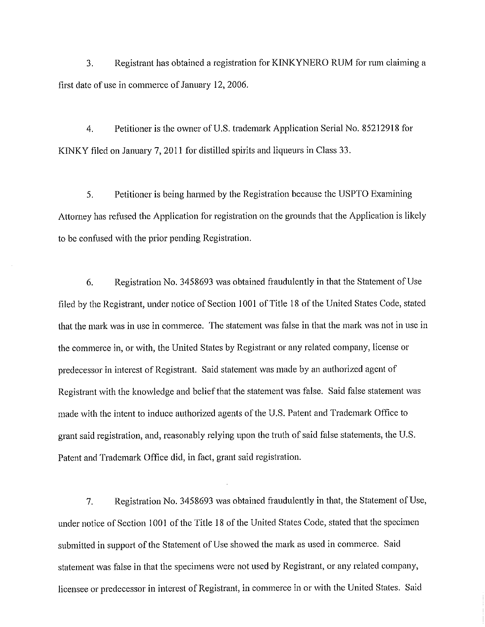$\mathcal{E}$ Registrant has obtained a registration for KINKYNERO RUM for rum claiming a first date of use in commerce of January 12, 2006.

 $\overline{4}$ . Petitioner is the owner of U.S. trademark Application Serial No. 85212918 for KINKY filed on January 7, 2011 for distilled spirits and liqueurs in Class 33.

Petitioner is being harmed by the Registration because the USPTO Examining 5. Attorney has refused the Application for registration on the grounds that the Application is likely to be confused with the prior pending Registration.

Registration No. 3458693 was obtained fraudulently in that the Statement of Use 6. filed by the Registrant, under notice of Section 1001 of Title 18 of the United States Code, stated that the mark was in use in commerce. The statement was false in that the mark was not in use in the commerce in, or with, the United States by Registrant or any related company, license or predecessor in interest of Registrant. Said statement was made by an authorized agent of Registrant with the knowledge and belief that the statement was false. Said false statement was made with the intent to induce authorized agents of the U.S. Patent and Trademark Office to grant said registration, and, reasonably relying upon the truth of said false statements, the U.S. Patent and Trademark Office did, in fact, grant said registration.

 $7.$ Registration No. 3458693 was obtained fraudulently in that, the Statement of Use, under notice of Section 1001 of the Title 18 of the United States Code, stated that the specimen submitted in support of the Statement of Use showed the mark as used in commerce. Said statement was false in that the specimens were not used by Registrant, or any related company, licensee or predecessor in interest of Registrant, in commerce in or with the United States. Said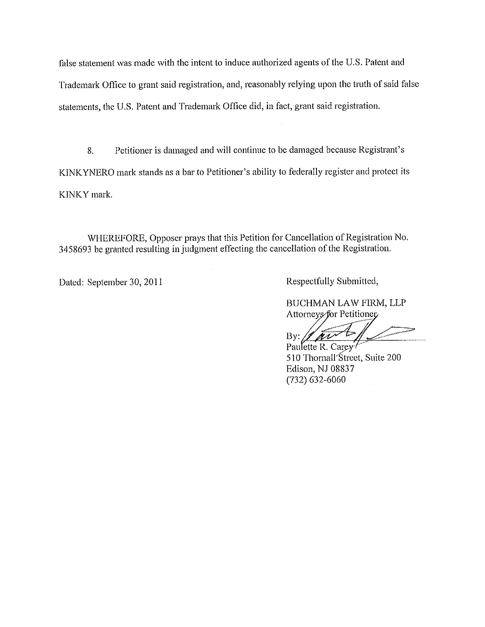false statement was made with the intent to induce authorized agents of the U.S. Patent and Trademark Office to grant said registration, and, reasonably relying upon the truth of said false statements, the U.S. Patent and Trademark Office did, in fact, grant said registration.

Petitioner is damaged and will continue to be damaged because Registrant's 8. KINKYNERO mark stands as a bar to Petitioner's ability to federally register and protect its KINKY mark.

WHEREFORE, Opposer prays that this Petition for Cancellation of Registration No. 3458693 be granted resulting in judgment effecting the cancellation of the Registration.

Dated: September 30, 2011

Respectfully Submitted,

BUCHMAN LAW FIRM, LLP Attorneys for Petitioner

 $By:$ 

Paulette R. Carey-510 Thornall Street, Suite 200 Edison, NJ 08837  $(732)$  632-6060